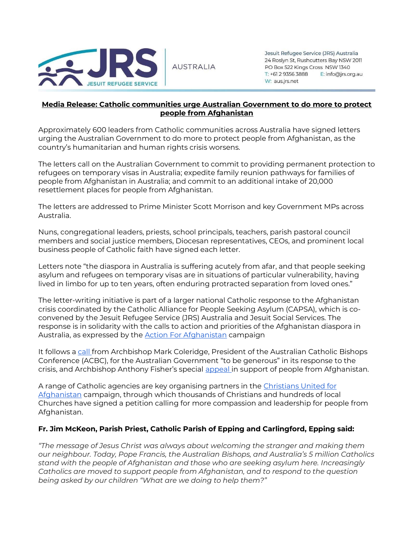

**AUSTRALIA** 

Jesuit Refugee Service (JRS) Australia 24 Roslyn St, Rushcutters Bay NSW 2011 PO Box 522 Kings Cross NSW 1340 T: +61 2 9356 3888 E: info@jrs.org.au W: aus.jrs.net

#### **Media Release: Catholic communities urge Australian Government to do more to protect people from Afghanistan**

Approximately 600 leaders from Catholic communities across Australia have signed letters urging the Australian Government to do more to protect people from Afghanistan, as the country's humanitarian and human rights crisis worsens.

The letters call on the Australian Government to commit to providing permanent protection to refugees on temporary visas in Australia; expedite family reunion pathways for families of people from Afghanistan in Australia; and commit to an additional intake of 20,000 resettlement places for people from Afghanistan.

The letters are addressed to Prime Minister Scott Morrison and key Government MPs across Australia.

Nuns, congregational leaders, priests, school principals, teachers, parish pastoral council members and social justice members, Diocesan representatives, CEOs, and prominent local business people of Catholic faith have signed each letter.

Letters note "the diaspora in Australia is suffering acutely from afar, and that people seeking asylum and refugees on temporary visas are in situations of particular vulnerability, having lived in limbo for up to ten years, often enduring protracted separation from loved ones."

The letter-writing initiative is part of a larger national Catholic response to the Afghanistan crisis coordinated by the Catholic Alliance for People Seeking Asylum (CAPSA), which is coconvened by the Jesuit Refugee Service (JRS) Australia and Jesuit Social Services. The response is in solidarity with the calls to action and priorities of the Afghanistan diaspora in Australia, as [e](https://www.actionforafghanistan.com.au/)xpressed by the **[Action For Afghanistan](https://www.actionforafghanistan.com.au/)** campaign

It follows a [call](https://mediablog.catholic.org.au/increase-afghan-intake-archbishop-coleridge-urges-pm/) from Archbishop Mark Coleridge, President of the Australian Catholic Bishops Conference (ACBC), for the Australian Government "to be generous" in its response to the crisis, and Archbishop Anthony Fisher's specia[l](https://www.catholicweekly.com.au/archbishop-anthony-fisher-op-launches-special-appeal-for-afghan-refugees/) [appeal](https://www.catholicweekly.com.au/archbishop-anthony-fisher-op-launches-special-appeal-for-afghan-refugees/) in support of people from Afghanistan.

A range of Catholic agencies are key organising partners in the [Christians United for](https://www.unitedforafghanistan.com/)  [Afghanistan](https://www.unitedforafghanistan.com/) campaign, through which thousands of Christians and hundreds of local Churches have signed a petition calling for more compassion and leadership for people from Afghanistan.

### **Fr. Jim McKeon, Parish Priest, Catholic Parish of Epping and Carlingford, Epping said:**

*"The message of Jesus Christ was always about welcoming the stranger and making them our neighbour. Today, Pope Francis, the Australian Bishops, and Australia's 5 million Catholics stand with the people of Afghanistan and those who are seeking asylum here. Increasingly Catholics are moved to support people from Afghanistan, and to respond to the question being asked by our children "What are we doing to help them?"*